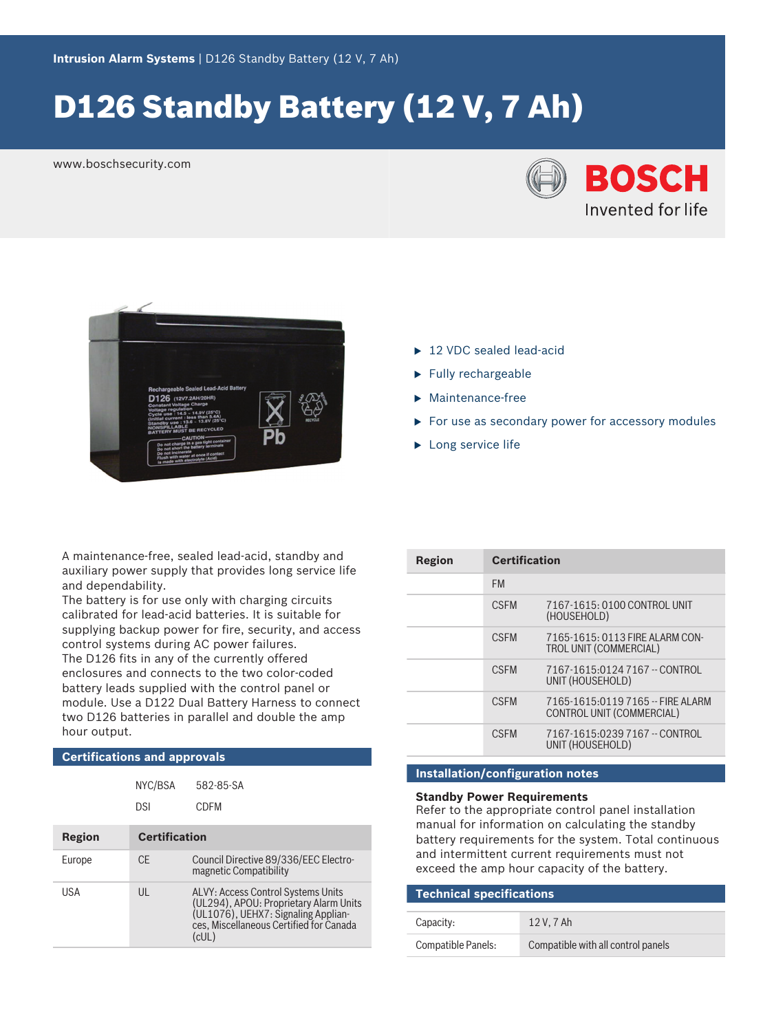# D126 Standby Battery (12 V, 7 Ah)

www.boschsecurity.com





- $\blacktriangleright$  12 VDC sealed lead-acid
- $\blacktriangleright$  Fully rechargeable
- $\blacktriangleright$  Maintenance-free
- $\triangleright$  For use as secondary power for accessory modules
- $\blacktriangleright$  Long service life

A maintenance‑free, sealed lead‑acid, standby and auxiliary power supply that provides long service life and dependability.

The battery is for use only with charging circuits calibrated for lead‑acid batteries. It is suitable for supplying backup power for fire, security, and access control systems during AC power failures. The D126 fits in any of the currently offered enclosures and connects to the two color‑coded battery leads supplied with the control panel or module. Use a D122 Dual Battery Harness to connect two D126 batteries in parallel and double the amp hour output.

### **Certifications and approvals**

|        | NYC/BSA              | 582-85-SA                                                                                                                                                               |
|--------|----------------------|-------------------------------------------------------------------------------------------------------------------------------------------------------------------------|
|        | <b>DSI</b>           | CDEM                                                                                                                                                                    |
| Region | <b>Certification</b> |                                                                                                                                                                         |
| Europe | CF.                  | Council Directive 89/336/EEC Electro-<br>magnetic Compatibility                                                                                                         |
| USA    | UL                   | ALVY: Access Control Systems Units<br>(UL294), APOU: Proprietary Alarm Units<br>(UL1076), UEHX7: Signaling Applian-<br>ces. Miscellaneous Certified for Canada<br>(cUL) |

| Region | <b>Certification</b> |                                                                  |
|--------|----------------------|------------------------------------------------------------------|
|        | <b>FM</b>            |                                                                  |
|        | <b>CSEM</b>          | 7167-1615: 0100 CONTROL UNIT<br>(HOUSEHOLD)                      |
|        | <b>CSEM</b>          | 7165-1615: 0113 FIRE ALARM CON-<br><b>TROL UNIT (COMMERCIAL)</b> |
|        | <b>CSEM</b>          | 7167-1615:0124 7167 -- CONTROL<br>UNIT (HOUSEHOLD)               |
|        | <b>CSEM</b>          | 7165-1615:0119 7165 -- FIRE ALARM<br>CONTROL UNIT (COMMERCIAL)   |
|        | <b>CSEM</b>          | 7167-1615:0239 7167 -- CONTROL<br>UNIT (HOUSEHOLD)               |

## **Installation/configuration notes**

### **Standby Power Requirements**

Refer to the appropriate control panel installation manual for information on calculating the standby battery requirements for the system. Total continuous and intermittent current requirements must not exceed the amp hour capacity of the battery.

| <b>Technical specifications</b> |                                    |  |  |
|---------------------------------|------------------------------------|--|--|
| Capacity:                       | 12 V. 7 Ah                         |  |  |
| Compatible Panels:              | Compatible with all control panels |  |  |